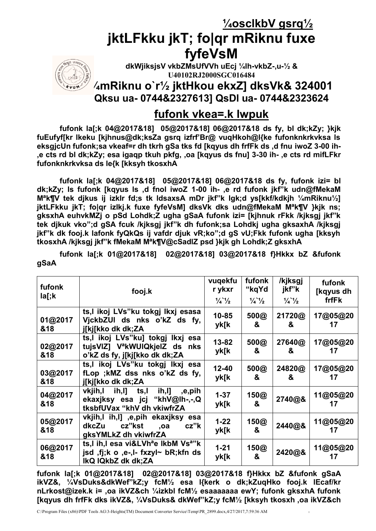**¼osclkbV gsrq½**

# **jktLFkku jkT; fo|qr mRiknu fuxe fyfeVsM**



**dkWjiksjsV vkbZMsUfVVh uEcj ¼lh-vkbZ-,u-½ & U40102RJ2000SGC016484**

## **¼mRiknu o`r½ jktHkou ekxZ] dksVk& 324001 Qksu ua- 0744&2327613] QsDl ua- 0744&2323624**

## **fufonk vkea=.k lwpuk**

**fufonk la[;k 04@2017&18] 05@2017&18] 06@2017&18 ds fy, bl dk;kZy; }kjk fuEufyf[kr lkeku [kjhnus@dk;ksZa gsrq izfrf'Br@ vuqHkoh@l{ke fufonknkrkvksa ls eksgjcUn fufonk;sa vkeaf=r dh tkrh gSa tks fd [kqyus dh frfFk ds ,d fnu iwoZ 3-00 ih- ,e cts rd bl dk;kZy; esa igaqp tkuh pkfg, ,oa [kqyus ds fnu] 3-30 ih- ,e cts rd mifLFkr fufonknkrkvksa ds le{k [kksyh tkosxhA**

**fufonk la[;k 04@2017&18] 05@2017&18] 06@2017&18 ds fy, fufonk izi= bl dk;kZy; ls fufonk [kqyus ls ,d fnol iwoZ 1-00 ih- ,e rd fufonk jkf"k udn@fMekaM Mªk¶V tek djkus ij izkIr fd;s tk ldsaxsA mDr jkf"k lgk;d ys[kkf/kdkjh ¼mRiknu½] jktLFkku jkT; fo|qr izlkj.k fuxe fyfeVsM] dksVk dks udn@fMekaM Mªk¶V }kjk ns; gksxhA euhvkMZj o pSd Lohdk;Z ugha gSaA fufonk izi= [kjhnuk rFkk /kjksgj jkf"k tek djkuk vko";d gSA fcuk /kjksgj jkf"k dh fufonk;sa Lohdkj ugha gksaxhA /kjksgj jkf"k dk fooj.k lafonk fyQkQs ij vafdr djuk vR;ko";d gS vU;Fkk fufonk ugha [kksyh tkosxhA /kjksgj jkf"k fMekaM Mªk¶V@cSadlZ psd }kjk gh Lohdk;Z gksxhA**

**fufonk la[;k 01@2017&18] 02@2017&18] 03@2017&18 f}Hkkx bZ &fufonk gSaA**

| fufonk<br>la[;k | fooj.k                                                                                                                      | vuqekfu<br>r ykxr<br>$\frac{1}{4}$ $\frac{1}{2}$ | fufonk<br>"kqYd<br>$\frac{1}{4}$ $\frac{1}{2}$ | /kjksgj<br>jkf"k<br>$\frac{1}{4}$ $\frac{1}{2}$ | fufonk<br>[kqyus dh<br>frfFk |
|-----------------|-----------------------------------------------------------------------------------------------------------------------------|--------------------------------------------------|------------------------------------------------|-------------------------------------------------|------------------------------|
| 01@2017<br>&18  | ts,I ikoj LVs"ku tokgj Ikxj esasa<br>VickbZUI ds nks o'kZ ds fy,<br>j[kj[kko dk dk;ZA                                       | $10 - 85$<br>yk[k                                | 500@<br>&                                      | 21720@<br>&                                     | 17@05@20<br>17               |
| 02@2017<br>&18  | ts,I ikoj LVs"ku] tokgj lkxj esa<br>tuisVIZ] V <sup>a</sup> kWUIQkjeIZ ds nks<br>o'kZ ds fy, j[kj[kko dk dk;ZA              | 13-82<br>yk[k                                    | 500@<br>&                                      | 27640@<br>&                                     | 17@05@20<br>17               |
| 03@2017<br>&18  | ts,I ikoj LVs"ku tokgj Ikxj esa<br>fLop; kMZ dss nks o'kZ ds fy,<br>j[kj[kko dk dk;ZA                                       | 12-40<br>yk[k                                    | 500@<br>&                                      | 24820@<br>&                                     | 17@05@20<br>17               |
| 04@2017<br>&18  | ih,l]<br>vkjih,l<br>ih,l] ts,l<br>e,pih,<br>ekaxjksy esa jcj "khV@lh-,-,Q<br>tksbfUVax "khV dh vkiwfrZA                     | $1 - 37$<br>yk[k                                 | 150@<br>&                                      | 2740@&                                          | 11@05@20<br>17               |
| 05@2017<br>&18  | vkjih,l ih,l] ,e,pih ekaxjksy esa<br>cz"kst<br>dkcZu<br>cz"k<br>,oa<br>gksYMLkZ dh vkiwfrZA                                 | $1 - 22$<br>yk[k                                 | 150@<br>&                                      | 2440@&                                          | 11@05@20                     |
| 06@2017<br>&18  | ts,I ih,I esa vi&LVh <sup>a</sup> e lkbM Vs <sup>a</sup> "k<br>jsd, $f$ j;k o ,e-,l- fxzyl~ bR;kfn ds<br>IkQ IQkbZ dk dk;ZA | $1 - 21$<br>yk[k                                 | 150@<br>&                                      | 2420@&                                          | 11@05@20<br>17               |

**fufonk la[;k 01@2017&18] 02@2017&18] 03@2017&18 f}Hkkx bZ &fufonk gSaA ikVZ&, ¼VsDuks&dkWef"kZ;y fcM½ esa l{kerk o dk;kZuqHko fooj.k lEcaf/kr nLrkost@izek.k i= ,oa ikVZ&ch ¼izkbl fcM½ esaaaaaaa ewY; fufonk gksxhA fufonk [kqyus dh frfFk dks ikVZ&, ¼VsDuks& dkWef"kZ;y fcM½ [kksyh tkosxh ,oa ikVZ&ch**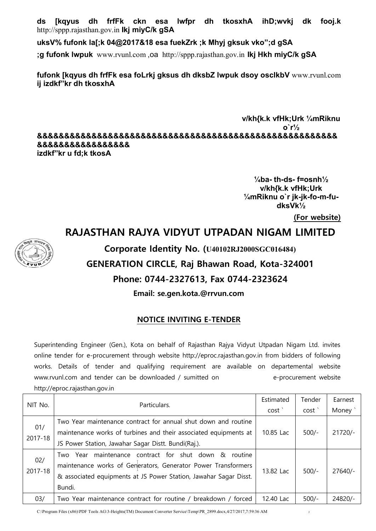**ds [kqyus dh frfFk ckn esa lwfpr dh tkosxhA ihD;wvkj dk fooj.k**  http://sppp.rajasthan.gov.in **Ikj miyC/k gSA**

**uksV% fufonk la[;k 04@2017&18 esa fuekZrk ;k Mhyj gksuk vko";d gSA** 

**;g fufonk lwpuk** www.rvunl.com ,oa http://sppp.rajasthan.gov.in **Ikj Hkh miyC/k gSA**

**fufonk [kqyus dh frfFk esa foLrkj gksus dh dksbZ lwpuk dsoy osclkbV** www.rvunl.com **ij izdkf"kr dh tkosxhA** 

**v/kh{k.k vfHk;Urk ¼mRiknu o`r½ &&&&&&&&&&&&&&&&&&&&&&&&&&&&&&&&&&&&&&&&&&&&&&&&&&&&&&& &&&&&&&&&&&&&&&&& izdkf"kr u fd;k tkosA**

> **¼ba- th-ds- f=osnh½ v/kh{k.k vfHk;Urk ¼mRiknu o`r jk-jk-fo-m-fudksVk½**

> > **(For website)**

## **RAJASTHAN RAJYA VIDYUT UTPADAN NIGAM LIMITED**



**Corporate Identity No. (U40102RJ2000SGC016484)**

## **GENERATION CIRCLE, Raj Bhawan Road, Kota-324001**

### **Phone: 0744-2327613, Fax 0744-2323624**

**Email: se.gen.kota.@rrvun.com**

### **NOTICE INVITING E-TENDER**

Superintending Engineer (Gen.), Kota on behalf of Rajasthan Rajya Vidyut Utpadan Nigam Ltd. invites online tender for e-procurement through website http://eproc.rajasthan.gov.in from bidders of following works. Details of tender and qualifying requirement are available on departemental website www.rvunl.com and tender can be downloaded / sumitted on e-procurement website http://eproc.rajasthan.gov.in

| NIT No.        | Particulars.                                                                                                                                                                                             | Estimated | Tender  | Earnest   |
|----------------|----------------------------------------------------------------------------------------------------------------------------------------------------------------------------------------------------------|-----------|---------|-----------|
|                |                                                                                                                                                                                                          | cost'     | cost'   | Money `   |
|                | Two Year maintenance contract for annual shut down and routine                                                                                                                                           |           |         |           |
| 01/<br>2017-18 | maintenance works of turbines and their associated equipments at                                                                                                                                         | 10.85 Lac | $500/-$ | $21720/-$ |
|                | JS Power Station, Jawahar Sagar Distt. Bundi(Raj.).                                                                                                                                                      |           |         |           |
| 02/<br>2017-18 | Two Year maintenance contract for shut down &<br>routine<br>maintenance works of Generators, Generator Power Transformers<br>& associated equipments at JS Power Station, Jawahar Sagar Disst.<br>Bundi. | 13.82 Lac | $500/-$ | $27640/-$ |
| 03/            | Two Year maintenance contract for routine / breakdown / forced                                                                                                                                           | 12.40 Lac | $500/-$ | 24820/-   |

C:\Program Files (x86)\PDF Tools AG\3-Heights(TM) Document Converter Service\Temp\PR\_2899.docx,4/27/2017,7:59:36 AM <sup>2</sup>